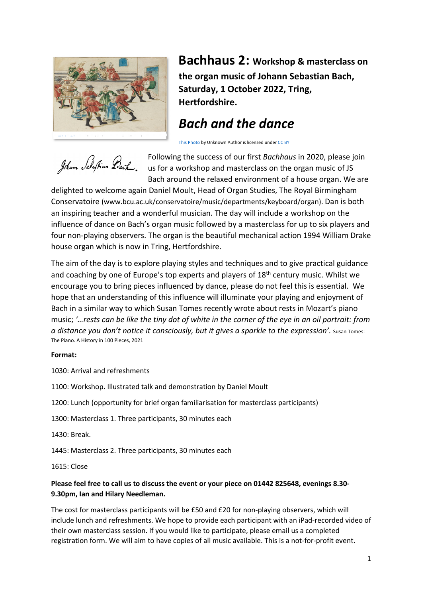

**Bachhaus 2: Workshop & masterclass on the organ music of Johann Sebastian Bach, Saturday, 1 October 2022, Tring, Hertfordshire.**

# *Bach and the dance*

This Photo by Unknown Author is licensed under CC BY

Johann Schaffin Back

Following the success of our first *Bachhaus* in 2020, please join us for a workshop and masterclass on the organ music of JS Bach around the relaxed environment of a house organ. We are

delighted to welcome again Daniel Moult, Head of Organ Studies, The Royal Birmingham Conservatoire (www.bcu.ac.uk/conservatoire/music/departments/keyboard/organ). Dan is both an inspiring teacher and a wonderful musician. The day will include a workshop on the influence of dance on Bach's organ music followed by a masterclass for up to six players and four non-playing observers. The organ is the beautiful mechanical action 1994 William Drake house organ which is now in Tring, Hertfordshire.

The aim of the day is to explore playing styles and techniques and to give practical guidance and coaching by one of Europe's top experts and players of 18<sup>th</sup> century music. Whilst we encourage you to bring pieces influenced by dance, please do not feel this is essential. We hope that an understanding of this influence will illuminate your playing and enjoyment of Bach in a similar way to which Susan Tomes recently wrote about rests in Mozart's piano music; *'…rests can be like the tiny dot of white in the corner of the eye in an oil portrait: from a distance you don't notice it consciously, but it gives a sparkle to the expression'.* Susan Tomes: The Piano. A History in 100 Pieces, 2021

#### **Format:**

1030: Arrival and refreshments

1100: Workshop. Illustrated talk and demonstration by Daniel Moult

1200: Lunch (opportunity for brief organ familiarisation for masterclass participants)

1300: Masterclass 1. Three participants, 30 minutes each

1430: Break.

1445: Masterclass 2. Three participants, 30 minutes each

1615: Close

### **Please feel free to call us to discuss the event or your piece on 01442 825648, evenings 8.30- 9.30pm, Ian and Hilary Needleman.**

The cost for masterclass participants will be £50 and £20 for non-playing observers, which will include lunch and refreshments. We hope to provide each participant with an iPad-recorded video of their own masterclass session. If you would like to participate, please email us a completed registration form. We will aim to have copies of all music available. This is a not-for-profit event.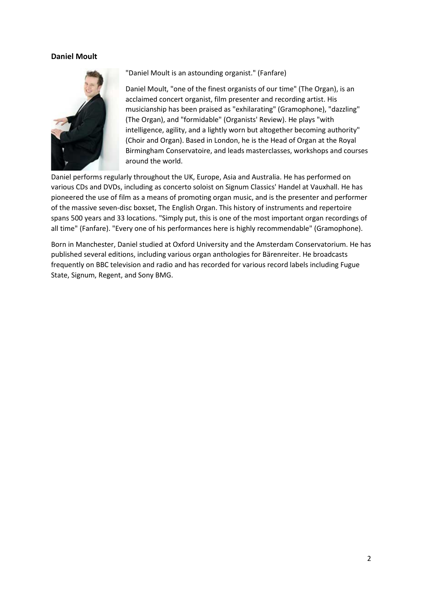#### **Daniel Moult**



"Daniel Moult is an astounding organist." (Fanfare)

Daniel Moult, "one of the finest organists of our time" (The Organ), is an acclaimed concert organist, film presenter and recording artist. His musicianship has been praised as "exhilarating" (Gramophone), "dazzling" (The Organ), and "formidable" (Organists' Review). He plays "with intelligence, agility, and a lightly worn but altogether becoming authority" (Choir and Organ). Based in London, he is the Head of Organ at the Royal Birmingham Conservatoire, and leads masterclasses, workshops and courses around the world.

Daniel performs regularly throughout the UK, Europe, Asia and Australia. He has performed on various CDs and DVDs, including as concerto soloist on Signum Classics' Handel at Vauxhall. He has pioneered the use of film as a means of promoting organ music, and is the presenter and performer of the massive seven-disc boxset, The English Organ. This history of instruments and repertoire spans 500 years and 33 locations. "Simply put, this is one of the most important organ recordings of all time" (Fanfare). "Every one of his performances here is highly recommendable" (Gramophone).

Born in Manchester, Daniel studied at Oxford University and the Amsterdam Conservatorium. He has published several editions, including various organ anthologies for Bärenreiter. He broadcasts frequently on BBC television and radio and has recorded for various record labels including Fugue State, Signum, Regent, and Sony BMG.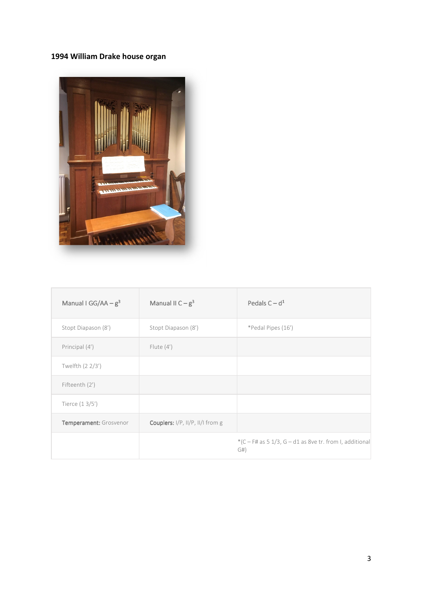## **1994 William Drake house organ**



| Manual I GG/AA $-g3$   | Manual II $C - g^3$              | Pedals $C - d1$                                                 |
|------------------------|----------------------------------|-----------------------------------------------------------------|
| Stopt Diapason (8')    | Stopt Diapason (8')              | *Pedal Pipes (16')                                              |
| Principal (4')         | Flute $(4')$                     |                                                                 |
| Twelfth (2 2/3')       |                                  |                                                                 |
| Fifteenth (2')         |                                  |                                                                 |
| Tierce $(13/5')$       |                                  |                                                                 |
| Temperament: Grosvenor | Couplers: I/P, II/P, II/I from g |                                                                 |
|                        |                                  | $*(C - F# as 5 1/3, G - d1 as 8ve tr. from I, additional$<br>G# |